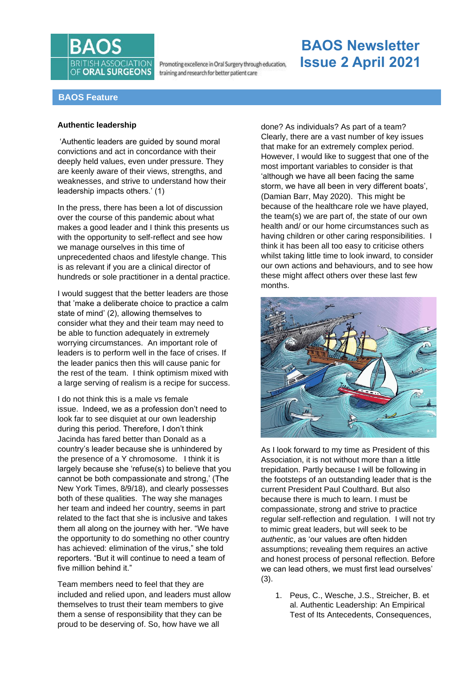

Promoting excellence in Oral Surgery through education, training and research for better patient care

# **BAOS Newsletter Issue 2 April 2021**

# **BAOS Feature**

### **Authentic leadership**

'Authentic leaders are guided by sound moral convictions and act in concordance with their deeply held values, even under pressure. They are keenly aware of their views, strengths, and weaknesses, and strive to understand how their leadership impacts others.' (1)

In the press, there has been a lot of discussion over the course of this pandemic about what makes a good leader and I think this presents us with the opportunity to self-reflect and see how we manage ourselves in this time of unprecedented chaos and lifestyle change. This is as relevant if you are a clinical director of hundreds or sole practitioner in a dental practice.

I would suggest that the better leaders are those that 'make a deliberate choice to practice a calm state of mind' (2), allowing themselves to consider what they and their team may need to be able to function adequately in extremely worrying circumstances. An important role of leaders is to perform well in the face of crises. If the leader panics then this will cause panic for the rest of the team. I think optimism mixed with a large serving of realism is a recipe for success.

I do not think this is a male vs female issue. Indeed, we as a profession don't need to look far to see disquiet at our own leadership during this period. Therefore, I don't think Jacinda has fared better than Donald as a country's leader because she is unhindered by the presence of a Y chromosome. I think it is largely because she 'refuse(s) to believe that you cannot be both compassionate and strong,' (The New York Times, 8/9/18), and clearly possesses both of these qualities. The way she manages her team and indeed her country, seems in part related to the fact that she is inclusive and takes them all along on the journey with her. "We have the opportunity to do something no other country has achieved: elimination of the virus," she told reporters. "But it will continue to need a team of five million behind it."

Team members need to feel that they are included and relied upon, and leaders must allow themselves to trust their team members to give them a sense of responsibility that they can be proud to be deserving of. So, how have we all

done? As individuals? As part of a team? Clearly, there are a vast number of key issues that make for an extremely complex period. However, I would like to suggest that one of the most important variables to consider is that 'although we have all been facing the same storm, we have all been in very different boats', (Damian Barr, May 2020). This might be because of the healthcare role we have played, the team(s) we are part of, the state of our own health and/ or our home circumstances such as having children or other caring responsibilities. I think it has been all too easy to criticise others whilst taking little time to look inward, to consider our own actions and behaviours, and to see how these might affect others over these last few months.



As I look forward to my time as President of this Association, it is not without more than a little trepidation. Partly because I will be following in the footsteps of an outstanding leader that is the current President Paul Coulthard. But also because there is much to learn. I must be compassionate, strong and strive to practice regular self-reflection and regulation. I will not try to mimic great leaders, but will seek to be *authentic*, as 'our values are often hidden assumptions; revealing them requires an active and honest process of personal reflection. Before we can lead others, we must first lead ourselves' (3).

1. Peus, C., Wesche, J.S., Streicher, B. et al. Authentic Leadership: An Empirical Test of Its Antecedents, Consequences,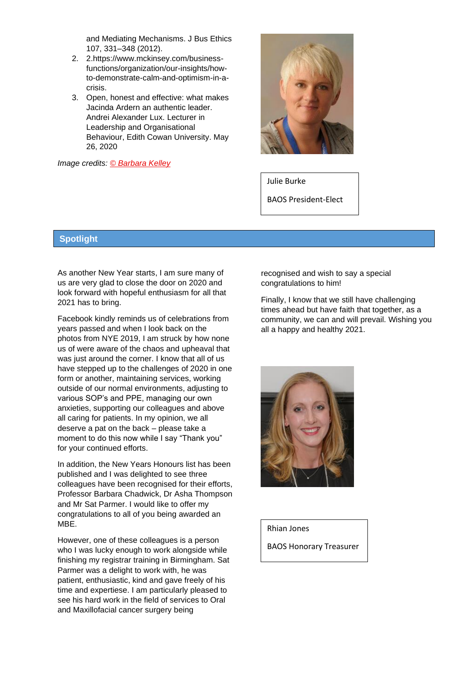and Mediating Mechanisms. J Bus Ethics 107, 331–348 (2012).

- 2. 2.https://www.mckinsey.com/businessfunctions/organization/our-insights/howto-demonstrate-calm-and-optimism-in-acrisis.
- 3. Open, honest and effective: what makes Jacinda Ardern an authentic leader. Andrei Alexander Lux. Lecturer in Leadership and Organisational Behaviour, Edith Cowan University. May 26, 2020

*Image credits: © [Barbara](https://www.directoryofillustration.com/artist.aspx?AID=6123) Kelley*



Julie Burke

BAOS President-Elect

## **Spotlight**

As another New Year starts, I am sure many of us are very glad to close the door on 2020 and look forward with hopeful enthusiasm for all that 2021 has to bring.

Facebook kindly reminds us of celebrations from years passed and when I look back on the photos from NYE 2019, I am struck by how none us of were aware of the chaos and upheaval that was just around the corner. I know that all of us have stepped up to the challenges of 2020 in one form or another, maintaining services, working outside of our normal environments, adjusting to various SOP's and PPE, managing our own anxieties, supporting our colleagues and above all caring for patients. In my opinion, we all deserve a pat on the back – please take a moment to do this now while I say "Thank you" for your continued efforts.

In addition, the New Years Honours list has been published and I was delighted to see three colleagues have been recognised for their efforts, Professor Barbara Chadwick, Dr Asha Thompson and Mr Sat Parmer. I would like to offer my congratulations to all of you being awarded an MBE.

However, one of these colleagues is a person who I was lucky enough to work alongside while finishing my registrar training in Birmingham. Sat Parmer was a delight to work with, he was patient, enthusiastic, kind and gave freely of his time and expertiese. I am particularly pleased to see his hard work in the field of services to Oral and Maxillofacial cancer surgery being

recognised and wish to say a special congratulations to him!

Finally, I know that we still have challenging times ahead but have faith that together, as a community, we can and will prevail. Wishing you all a happy and healthy 2021.



Rhian Jones

BAOS Honorary Treasurer